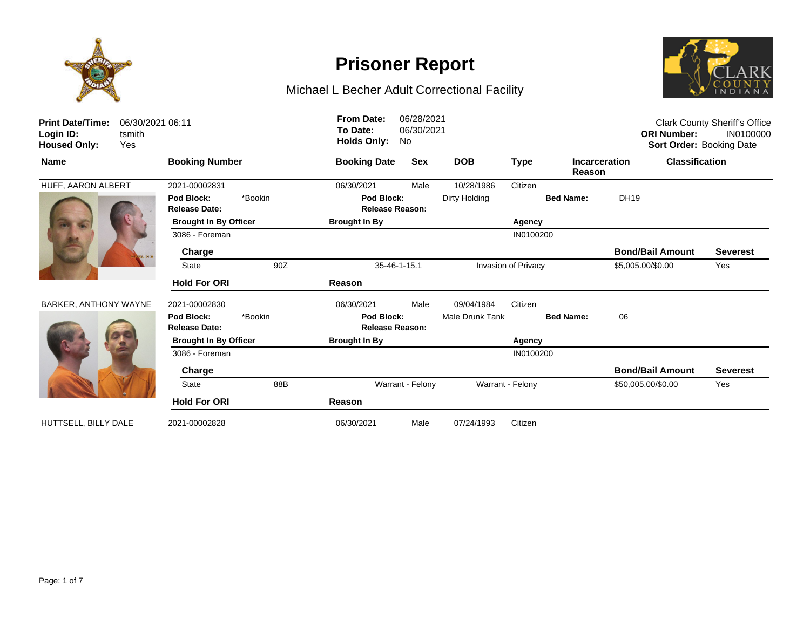

# **Prisoner Report**



| <b>Print Date/Time:</b><br>Login ID:<br><b>Housed Only:</b> | 06/30/2021 06:11<br>tsmith<br>Yes |                                               |         | <b>From Date:</b><br>To Date:<br><b>Holds Only:</b> | 06/28/2021<br>06/30/2021<br>No |                     |                  |                                | <b>ORI Number:</b>      | <b>Clark County Sheriff's Office</b><br>IN0100000<br>Sort Order: Booking Date |
|-------------------------------------------------------------|-----------------------------------|-----------------------------------------------|---------|-----------------------------------------------------|--------------------------------|---------------------|------------------|--------------------------------|-------------------------|-------------------------------------------------------------------------------|
| <b>Name</b>                                                 |                                   | <b>Booking Number</b>                         |         | <b>Booking Date</b>                                 | Sex                            | <b>DOB</b>          | <b>Type</b>      | <b>Incarceration</b><br>Reason |                         | <b>Classification</b>                                                         |
| HUFF, AARON ALBERT                                          |                                   | 2021-00002831                                 |         | 06/30/2021                                          | Male                           | 10/28/1986          | Citizen          |                                |                         |                                                                               |
|                                                             |                                   | Pod Block:<br>*Bookin<br><b>Release Date:</b> |         | Pod Block:<br><b>Release Reason:</b>                |                                | Dirty Holding       |                  | <b>Bed Name:</b>               | DH19                    |                                                                               |
|                                                             |                                   | <b>Brought In By Officer</b>                  |         | <b>Brought In By</b>                                |                                | Agency              |                  |                                |                         |                                                                               |
|                                                             |                                   | 3086 - Foreman                                |         |                                                     |                                |                     | IN0100200        |                                |                         |                                                                               |
|                                                             |                                   | Charge                                        |         |                                                     |                                |                     |                  |                                | <b>Bond/Bail Amount</b> | <b>Severest</b>                                                               |
|                                                             |                                   | <b>State</b>                                  | 90Z     |                                                     | 35-46-1-15.1                   | Invasion of Privacy |                  | \$5,005.00/\$0.00              | Yes                     |                                                                               |
|                                                             |                                   | <b>Hold For ORI</b>                           |         | Reason                                              |                                |                     |                  |                                |                         |                                                                               |
| <b>BARKER, ANTHONY WAYNE</b>                                |                                   | 2021-00002830                                 |         | 06/30/2021                                          | Male                           | 09/04/1984          | Citizen          |                                |                         |                                                                               |
|                                                             |                                   | Pod Block:<br><b>Release Date:</b>            | *Bookin | Pod Block:<br><b>Release Reason:</b>                |                                | Male Drunk Tank     |                  | <b>Bed Name:</b>               | 06                      |                                                                               |
|                                                             |                                   | <b>Brought In By Officer</b>                  |         | <b>Brought In By</b>                                |                                | Agency              |                  |                                |                         |                                                                               |
|                                                             |                                   | 3086 - Foreman                                |         |                                                     |                                |                     | IN0100200        |                                |                         |                                                                               |
|                                                             |                                   | Charge                                        |         |                                                     |                                |                     |                  |                                | <b>Bond/Bail Amount</b> | <b>Severest</b>                                                               |
|                                                             |                                   | <b>State</b>                                  | 88B     |                                                     | Warrant - Felony               |                     | Warrant - Felony |                                | \$50,005.00/\$0.00      | Yes                                                                           |
|                                                             |                                   | <b>Hold For ORI</b>                           |         | Reason                                              |                                |                     |                  |                                |                         |                                                                               |
| HUTTSELL, BILLY DALE                                        |                                   | 2021-00002828                                 |         | 06/30/2021                                          | Male                           | 07/24/1993          | Citizen          |                                |                         |                                                                               |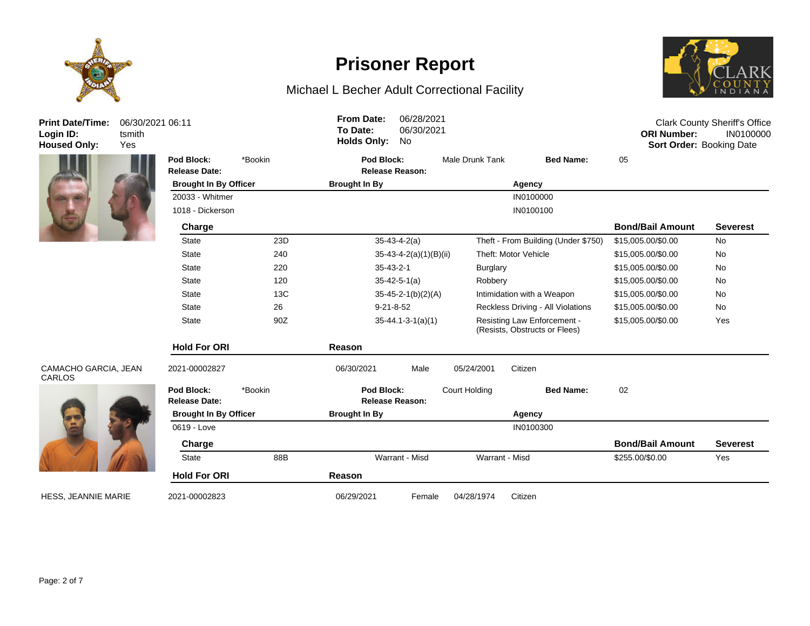



# **Prisoner Report**

# Michael L Becher Adult Correctional Facility



| <b>Print Date/Time:</b><br>Login ID:<br><b>Housed Only:</b> | 06/30/2021 06:11<br>tsmith<br>Yes |                                    |         | <b>From Date:</b><br>To Date:<br><b>Holds Only:</b> | 06/28/2021<br>06/30/2021<br>No |                       |                                                              | <b>ORI Number:</b><br>Sort Order: Booking Date | <b>Clark County Sheriff's Office</b><br>IN0100000 |
|-------------------------------------------------------------|-----------------------------------|------------------------------------|---------|-----------------------------------------------------|--------------------------------|-----------------------|--------------------------------------------------------------|------------------------------------------------|---------------------------------------------------|
|                                                             |                                   | Pod Block:<br><b>Release Date:</b> | *Bookin | Pod Block:                                          | <b>Release Reason:</b>         | Male Drunk Tank       | <b>Bed Name:</b>                                             | 05                                             |                                                   |
|                                                             |                                   | <b>Brought In By Officer</b>       |         | <b>Brought In By</b><br>Agency                      |                                |                       |                                                              |                                                |                                                   |
|                                                             |                                   | 20033 - Whitmer                    |         |                                                     |                                |                       | IN0100000                                                    |                                                |                                                   |
|                                                             |                                   | 1018 - Dickerson                   |         |                                                     |                                |                       | IN0100100                                                    |                                                |                                                   |
|                                                             |                                   | Charge                             |         |                                                     |                                |                       |                                                              | <b>Bond/Bail Amount</b>                        | <b>Severest</b>                                   |
|                                                             |                                   | <b>State</b>                       | 23D     |                                                     | $35-43-4-2(a)$                 |                       | Theft - From Building (Under \$750)                          | \$15,005.00/\$0.00                             | No                                                |
|                                                             |                                   | <b>State</b>                       | 240     |                                                     | $35-43-4-2(a)(1)(B)(ii)$       | Theft: Motor Vehicle  |                                                              | \$15,005.00/\$0.00                             | <b>No</b>                                         |
|                                                             |                                   | <b>State</b>                       | 220     |                                                     | $35 - 43 - 2 - 1$              | <b>Burglary</b>       |                                                              | \$15,005.00/\$0.00                             | <b>No</b>                                         |
|                                                             |                                   | <b>State</b>                       | 120     |                                                     | $35 - 42 - 5 - 1(a)$           | Robbery               |                                                              | \$15,005.00/\$0.00                             | No                                                |
|                                                             |                                   | <b>State</b>                       | 13C     |                                                     | $35 - 45 - 2 - 1(b)(2)(A)$     |                       | Intimidation with a Weapon                                   | \$15,005.00/\$0.00                             | No                                                |
|                                                             |                                   | <b>State</b>                       | 26      |                                                     | $9 - 21 - 8 - 52$              |                       | Reckless Driving - All Violations                            | \$15,005.00/\$0.00                             | <b>No</b>                                         |
|                                                             |                                   | <b>State</b>                       | 90Z     |                                                     | $35 - 44.1 - 3 - 1(a)(1)$      |                       | Resisting Law Enforcement -<br>(Resists, Obstructs or Flees) | \$15,005.00/\$0.00                             | Yes                                               |
|                                                             |                                   | <b>Hold For ORI</b>                |         | Reason                                              |                                |                       |                                                              |                                                |                                                   |
| CAMACHO GARCIA, JEAN<br><b>CARLOS</b>                       |                                   | 2021-00002827                      |         | 06/30/2021                                          | Male                           | Citizen<br>05/24/2001 |                                                              |                                                |                                                   |
|                                                             |                                   | Pod Block:<br><b>Release Date:</b> | *Bookin | Pod Block:                                          | <b>Release Reason:</b>         | Court Holding         | <b>Bed Name:</b>                                             | 02                                             |                                                   |
|                                                             |                                   | <b>Brought In By Officer</b>       |         | <b>Brought In By</b>                                |                                |                       | Agency                                                       |                                                |                                                   |
|                                                             |                                   | 0619 - Love                        |         |                                                     |                                |                       | IN0100300                                                    |                                                |                                                   |
|                                                             |                                   | Charge                             |         |                                                     |                                |                       |                                                              | <b>Bond/Bail Amount</b>                        | <b>Severest</b>                                   |
|                                                             |                                   | <b>State</b>                       | 88B     |                                                     | Warrant - Misd                 | Warrant - Misd        |                                                              | \$255.00/\$0.00                                | Yes                                               |
|                                                             |                                   | <b>Hold For ORI</b>                |         | Reason                                              |                                |                       |                                                              |                                                |                                                   |
| <b>HESS. JEANNIE MARIE</b>                                  |                                   | 2021-00002823                      |         | 06/29/2021                                          | Female                         | 04/28/1974<br>Citizen |                                                              |                                                |                                                   |



HESS, JEANNIE MARIE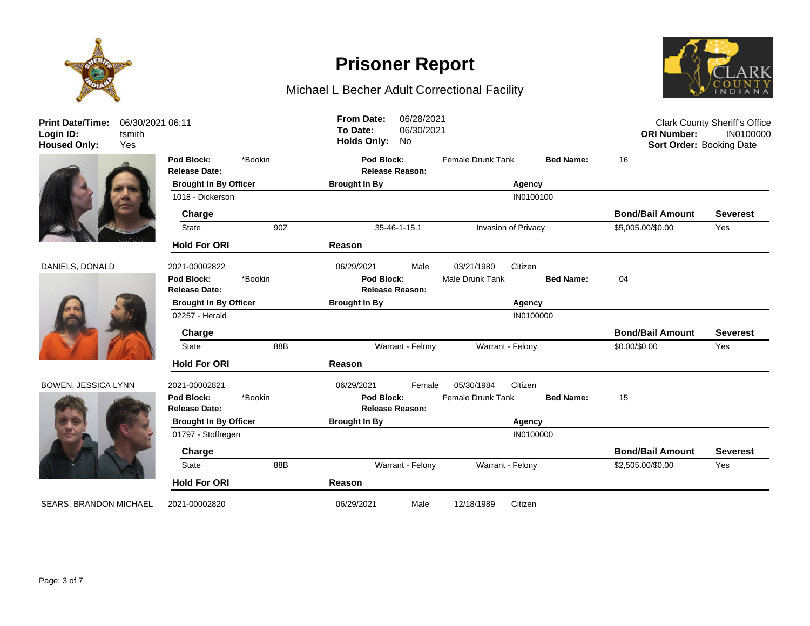



## DANIELS, DONALD 20



### BOWEN, JESSICA LYNN 20



| <b>Print Date/Time:</b><br>Login ID:<br><b>Housed Only:</b> | 06/30/2021 06:11<br>tsmith<br>Yes |                                    |         | <b>From Date:</b><br>To Date:<br><b>Holds Only:</b> | 06/28/2021<br>06/30/2021<br>No | <b>Clark County Sheriff's Office</b><br><b>ORI Number:</b><br>IN0100000<br>Sort Order: Booking Date |                     |                         |                 |
|-------------------------------------------------------------|-----------------------------------|------------------------------------|---------|-----------------------------------------------------|--------------------------------|-----------------------------------------------------------------------------------------------------|---------------------|-------------------------|-----------------|
|                                                             |                                   | Pod Block:<br><b>Release Date:</b> | *Bookin | Pod Block:                                          | <b>Release Reason:</b>         | Female Drunk Tank                                                                                   | <b>Bed Name:</b>    | 16                      |                 |
|                                                             |                                   | <b>Brought In By Officer</b>       |         | <b>Brought In By</b>                                |                                |                                                                                                     | Agency              |                         |                 |
|                                                             |                                   | 1018 - Dickerson                   |         |                                                     |                                |                                                                                                     | IN0100100           |                         |                 |
|                                                             |                                   | Charge                             |         |                                                     |                                |                                                                                                     |                     | <b>Bond/Bail Amount</b> | <b>Severest</b> |
|                                                             |                                   | <b>State</b>                       | 90Z     | 35-46-1-15.1                                        |                                |                                                                                                     | Invasion of Privacy | \$5,005.00/\$0.00       | Yes             |
|                                                             |                                   | <b>Hold For ORI</b>                |         | Reason                                              |                                |                                                                                                     |                     |                         |                 |
| DANIELS, DONALD                                             |                                   | 2021-00002822                      |         | 06/29/2021                                          | Male                           | 03/21/1980                                                                                          | Citizen             |                         |                 |
|                                                             |                                   | Pod Block:                         | *Bookin | Pod Block:                                          |                                | Male Drunk Tank                                                                                     | <b>Bed Name:</b>    | 04                      |                 |
|                                                             |                                   | <b>Release Date:</b>               |         |                                                     | <b>Release Reason:</b>         |                                                                                                     |                     |                         |                 |
|                                                             |                                   | <b>Brought In By Officer</b>       |         | <b>Brought In By</b>                                | Agency                         |                                                                                                     |                     |                         |                 |
|                                                             |                                   | 02257 - Herald                     |         |                                                     |                                |                                                                                                     | IN0100000           |                         |                 |
|                                                             |                                   | Charge                             |         |                                                     |                                |                                                                                                     |                     | <b>Bond/Bail Amount</b> | <b>Severest</b> |
|                                                             |                                   | <b>State</b>                       | 88B     |                                                     | Warrant - Felony               | Warrant - Felony                                                                                    |                     | \$0.00/\$0.00           | Yes             |
|                                                             |                                   | <b>Hold For ORI</b>                |         | Reason                                              |                                |                                                                                                     |                     |                         |                 |
| BOWEN, JESSICA LYNN                                         |                                   | 2021-00002821                      |         | 06/29/2021                                          | Female                         | 05/30/1984                                                                                          | Citizen             |                         |                 |
|                                                             |                                   | Pod Block:<br><b>Release Date:</b> | *Bookin | Pod Block:                                          | <b>Release Reason:</b>         | Female Drunk Tank                                                                                   | <b>Bed Name:</b>    | 15                      |                 |
|                                                             |                                   | <b>Brought In By Officer</b>       |         | <b>Brought In By</b>                                |                                |                                                                                                     | Agency              |                         |                 |
|                                                             |                                   | 01797 - Stoffregen                 |         |                                                     |                                |                                                                                                     | IN0100000           |                         |                 |
|                                                             |                                   | Charge                             |         |                                                     |                                |                                                                                                     |                     | <b>Bond/Bail Amount</b> | <b>Severest</b> |
|                                                             |                                   | <b>State</b>                       | 88B     |                                                     | Warrant - Felony               | Warrant - Felony                                                                                    |                     | \$2,505.00/\$0.00       | Yes             |
|                                                             |                                   | <b>Hold For ORI</b>                |         | Reason                                              |                                |                                                                                                     |                     |                         |                 |
| <b>SEARS, BRANDON MICHAEL</b>                               |                                   | 2021-00002820                      |         | 06/29/2021                                          | Male                           | 12/18/1989                                                                                          | Citizen             |                         |                 |

**Prisoner Report**

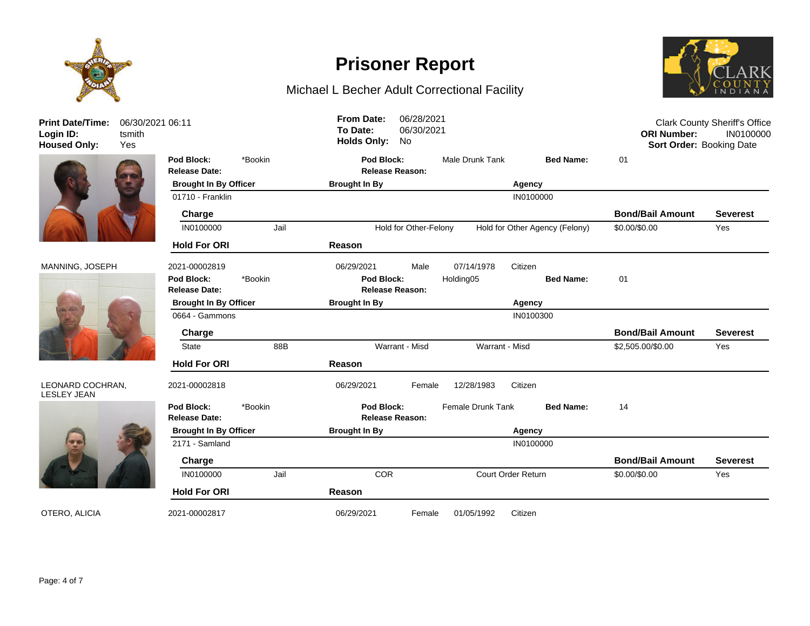

**Print Date/Time: Login ID:** 06/30/2021 06:11 tsmith





### LEONARD COCHRAN, LESLEY JEAN



# **Release Date: Release Reason: Pod Block:** \*Bookin **Pod Block:** Male Drunk Tank **Bed Name:** 01 **Brought In By Officer Brought In By Agency** 01710 - Franklin IN0100000 Pranklin IN0100000 Pranklin IN0100000 Pranklin IN0100000 Pranklin IN0100000 Prankli **Charge Bond/Bail Amount Severest** IN0100000 Jail Hold for Other-Felony Hold for Other Agency (Felony) \$0.00/\$0.00 Yes **Hold For ORI Reason** MANNING, JOSEPH 2021-00002819 06/29/2021 Male 07/14/1978 Citizen **Release Date: Release Reason: Pod Block:** \*Bookin **Pod Block:** Holding05 **Bed Name:** 01 **Brought In By Officer Brought In By Agency** 0664 - Gammons IN0100300 **Charge Bond/Bail Amount Severest** State 88B Warrant - Misd Warrant - Misd \$2,505.00/\$0.00 Yes **Hold For ORI Reason** 2021-00002818 06/29/2021 Female 12/28/1983 Citizen **Release Date: Release Reason: Pod Block:** \*Bookin **Pod Block:** Female Drunk Tank **Bed Name:** 14 **Brought In By Officer Brought In By Agency** 2171 - Samland IN0100000 **Charge Bond/Bail Amount Severest** IN0100000 Jail COR Court Order Return \$0.00/\$0.00 Yes **Hold For ORI Reason** OTERO, ALICIA 2021-00002817 06/29/2021 Female 01/05/1992 Citizen Clark County Sheriff's Office **ORI Number:** IN0100000 **Housed Only:** Yes **Holds Only:** No **Sort Order:** Booking Date **To Date:** 06/30/2021 **From Date:** 06/28/2021

**Prisoner Report**

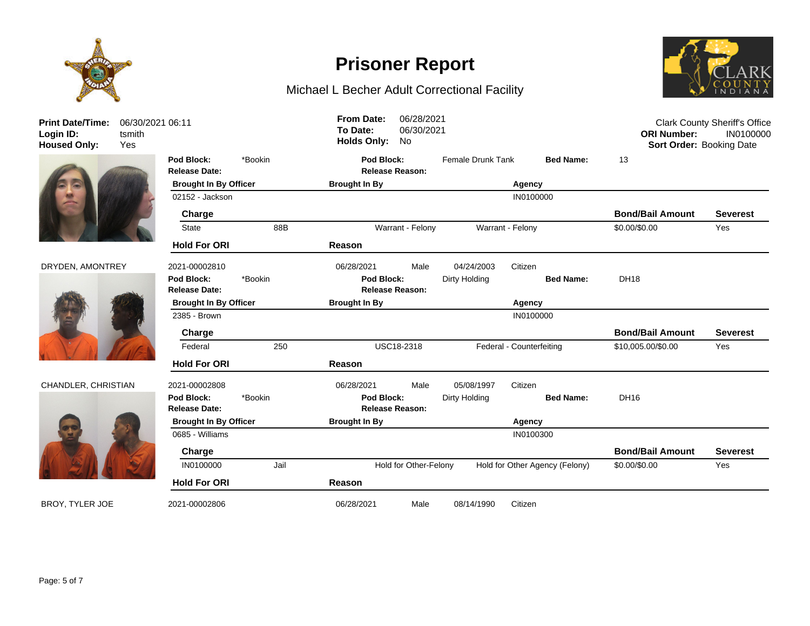

**Print Date/Time: Login ID:** 06/30/2021 06:11 tsmith







# **Release Date: Release Reason: Pod Block:** \*Bookin **Pod Block:** Female Drunk Tank **Bed Name:** 13 **Brought In By Officer Brought In By Agency** 02152 - Jackson IN0100000 - IN0100000 - IN0100000 - IN0100000 - IN0100000 - IN0100000 - IN0100000 - IN0100000 **Charge Bond/Bail Amount Severest** State 88B 88B Warrant - Felony Warrant - Felony S0.00/\$0.00 Yes **Hold For ORI Reason** DRYDEN, AMONTREY 2021-00002810 06/28/2021 Male 04/24/2003 Citizen **Release Date: Release Reason: Pod Block:** \*Bookin **Pod Block:** Dirty Holding **Bed Name:** DH18 **Brought In By Officer Brought In By Agency** 2385 - Brown IN0100000 **Charge Bond/Bail Amount Severest** Federal 250 USC18-2318 Federal - Counterfeiting \$10,005.00/\$0.00 Yes **Hold For ORI Reason** CHANDLER, CHRISTIAN 2021-00002808 06/28/2021 Male 05/08/1997 Citizen **Release Date: Release Reason: Pod Block:** \*Bookin **Pod Block:** Dirty Holding **Bed Name:** DH16 **Brought In By Officer Brought In By Agency** 0685 - Williams **INO100300 Charge Bond/Bail Amount Severest** IN0100000 Jail Hold for Other-Felony Hold for Other Agency (Felony) \$0.00/\$0.00 Yes **Hold For ORI Reason** BROY, TYLER JOE 2021-00002806 06/28/2021 Male 08/14/1990 Citizen **ORI Number:** IN0100000 **Housed Only:** Yes **Holds Only:** No **Sort Order:** Booking Date **To Date:** 06/30/2021

**Prisoner Report**

Michael L Becher Adult Correctional Facility

**From Date:** 06/28/2021



Clark County Sheriff's Office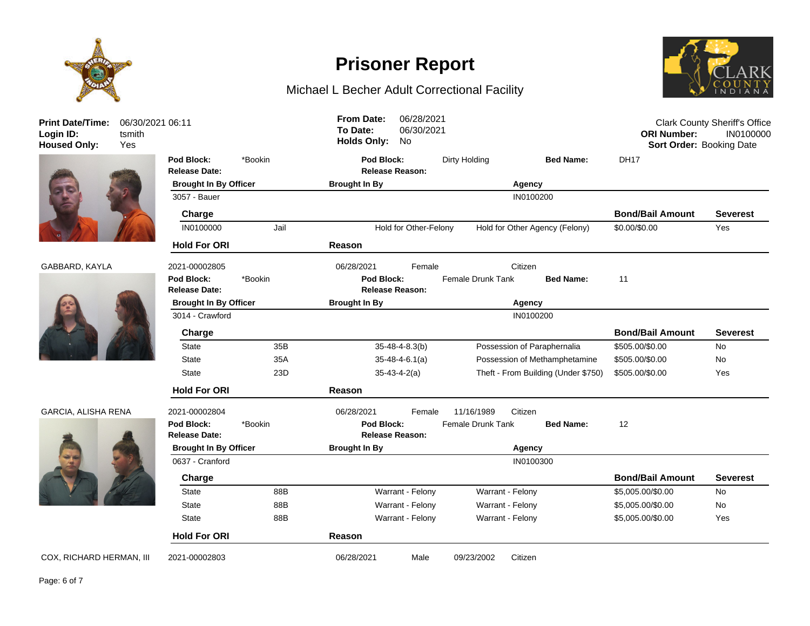





## GARCIA, ALISHA RENA 202



| <b>Print Date/Time:</b><br>Login ID:<br><b>Housed Only:</b> | 06/30/2021 06:11<br>tsmith<br>Yes |                                    |         | <b>From Date:</b><br>To Date:<br><b>Holds Only:</b> | 06/28/2021<br>06/30/2021<br>No |                   |                  |                                     | <b>ORI Number:</b><br>Sort Order: Booking Date | <b>Clark County Sheriff's Office</b><br>IN0100000 |
|-------------------------------------------------------------|-----------------------------------|------------------------------------|---------|-----------------------------------------------------|--------------------------------|-------------------|------------------|-------------------------------------|------------------------------------------------|---------------------------------------------------|
|                                                             |                                   | Pod Block:<br><b>Release Date:</b> | *Bookin | Pod Block:                                          | <b>Release Reason:</b>         | Dirty Holding     |                  | <b>Bed Name:</b>                    | <b>DH17</b>                                    |                                                   |
|                                                             |                                   | <b>Brought In By Officer</b>       |         | <b>Brought In By</b>                                |                                |                   | Agency           |                                     |                                                |                                                   |
|                                                             |                                   | 3057 - Bauer                       |         |                                                     |                                |                   | IN0100200        |                                     |                                                |                                                   |
|                                                             |                                   | Charge                             |         |                                                     |                                |                   |                  |                                     | <b>Bond/Bail Amount</b>                        | <b>Severest</b>                                   |
|                                                             |                                   | IN0100000                          | Jail    |                                                     | Hold for Other-Felony          |                   |                  | Hold for Other Agency (Felony)      | \$0.00/\$0.00                                  | Yes                                               |
|                                                             |                                   | <b>Hold For ORI</b>                |         | <b>Reason</b>                                       |                                |                   |                  |                                     |                                                |                                                   |
| GABBARD, KAYLA                                              |                                   | 2021-00002805                      |         | 06/28/2021                                          | Female                         |                   | Citizen          |                                     |                                                |                                                   |
|                                                             |                                   | Pod Block:<br><b>Release Date:</b> | *Bookin | Pod Block:                                          | <b>Release Reason:</b>         | Female Drunk Tank |                  | <b>Bed Name:</b>                    | 11                                             |                                                   |
|                                                             |                                   | <b>Brought In By Officer</b>       |         | <b>Brought In By</b>                                | Agency                         |                   |                  |                                     |                                                |                                                   |
|                                                             |                                   | 3014 - Crawford                    |         |                                                     |                                |                   | IN0100200        |                                     |                                                |                                                   |
|                                                             |                                   | Charge                             |         |                                                     |                                |                   |                  |                                     | <b>Bond/Bail Amount</b>                        | <b>Severest</b>                                   |
|                                                             |                                   | <b>State</b>                       | 35B     |                                                     | 35-48-4-8.3(b)                 |                   |                  | Possession of Paraphernalia         | \$505.00/\$0.00                                | No                                                |
|                                                             |                                   | <b>State</b>                       | 35A     |                                                     | $35-48-4-6.1(a)$               |                   |                  | Possession of Methamphetamine       | \$505.00/\$0.00                                | <b>No</b>                                         |
|                                                             |                                   | State                              | 23D     |                                                     | $35 - 43 - 4 - 2(a)$           |                   |                  | Theft - From Building (Under \$750) | \$505.00/\$0.00                                | Yes                                               |
|                                                             |                                   | <b>Hold For ORI</b>                |         | Reason                                              |                                |                   |                  |                                     |                                                |                                                   |
| <b>GARCIA, ALISHA RENA</b>                                  |                                   | 2021-00002804                      |         | 06/28/2021                                          | Female                         | 11/16/1989        | Citizen          |                                     |                                                |                                                   |
|                                                             |                                   | Pod Block:<br><b>Release Date:</b> | *Bookin | Pod Block:                                          | <b>Release Reason:</b>         | Female Drunk Tank |                  | <b>Bed Name:</b>                    | 12                                             |                                                   |
|                                                             |                                   | <b>Brought In By Officer</b>       |         | <b>Brought In By</b>                                |                                |                   | <b>Agency</b>    |                                     |                                                |                                                   |
|                                                             |                                   | 0637 - Cranford                    |         |                                                     |                                |                   | IN0100300        |                                     |                                                |                                                   |
|                                                             |                                   | Charge                             |         |                                                     |                                |                   |                  |                                     | <b>Bond/Bail Amount</b>                        | <b>Severest</b>                                   |
|                                                             |                                   | <b>State</b>                       | 88B     |                                                     | Warrant - Felony               |                   | Warrant - Felony |                                     | \$5,005.00/\$0.00                              | No                                                |
|                                                             |                                   | <b>State</b>                       | 88B     |                                                     | Warrant - Felony               |                   | Warrant - Felony |                                     | \$5,005.00/\$0.00                              | No                                                |
|                                                             |                                   | <b>State</b>                       | 88B     |                                                     | Warrant - Felony               |                   | Warrant - Felony |                                     | \$5,005.00/\$0.00                              | Yes                                               |
|                                                             |                                   | <b>Hold For ORI</b>                |         | Reason                                              |                                |                   |                  |                                     |                                                |                                                   |
| COX, RICHARD HERMAN, III                                    |                                   | 2021-00002803                      |         | 06/28/2021                                          | Male                           | 09/23/2002        | Citizen          |                                     |                                                |                                                   |

**Prisoner Report**